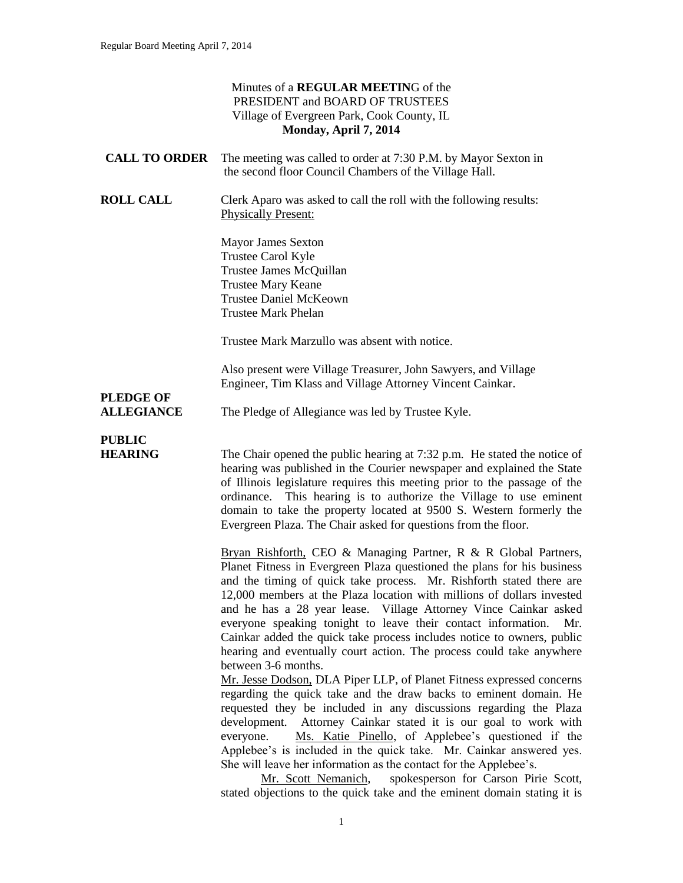#### Minutes of a **REGULAR MEETIN**G of the PRESIDENT and BOARD OF TRUSTEES Village of Evergreen Park, Cook County, IL **Monday, April 7, 2014 CALL TO ORDER** The meeting was called to order at 7:30 P.M. by Mayor Sexton in the second floor Council Chambers of the Village Hall. **ROLL CALL** Clerk Aparo was asked to call the roll with the following results: Physically Present: Mayor James Sexton Trustee Carol Kyle Trustee James McQuillan Trustee Mary Keane Trustee Daniel McKeown Trustee Mark Phelan Trustee Mark Marzullo was absent with notice. Also present were Village Treasurer, John Sawyers, and Village Engineer, Tim Klass and Village Attorney Vincent Cainkar. **PLEDGE OF ALLEGIANCE** The Pledge of Allegiance was led by Trustee Kyle. **PUBLIC HEARING** The Chair opened the public hearing at 7:32 p.m. He stated the notice of hearing was published in the Courier newspaper and explained the State of Illinois legislature requires this meeting prior to the passage of the ordinance. This hearing is to authorize the Village to use eminent domain to take the property located at 9500 S. Western formerly the Evergreen Plaza. The Chair asked for questions from the floor. Bryan Rishforth, CEO & Managing Partner, R & R Global Partners, Planet Fitness in Evergreen Plaza questioned the plans for his business and the timing of quick take process. Mr. Rishforth stated there are 12,000 members at the Plaza location with millions of dollars invested and he has a 28 year lease. Village Attorney Vince Cainkar asked everyone speaking tonight to leave their contact information. Mr. Cainkar added the quick take process includes notice to owners, public hearing and eventually court action. The process could take anywhere between 3-6 months. Mr. Jesse Dodson, DLA Piper LLP, of Planet Fitness expressed concerns regarding the quick take and the draw backs to eminent domain. He requested they be included in any discussions regarding the Plaza development. Attorney Cainkar stated it is our goal to work with everyone. Ms. Katie Pinello, of Applebee's questioned if the Applebee's is included in the quick take. Mr. Cainkar answered yes.

Mr. Scott Nemanich, spokesperson for Carson Pirie Scott, stated objections to the quick take and the eminent domain stating it is

She will leave her information as the contact for the Applebee's.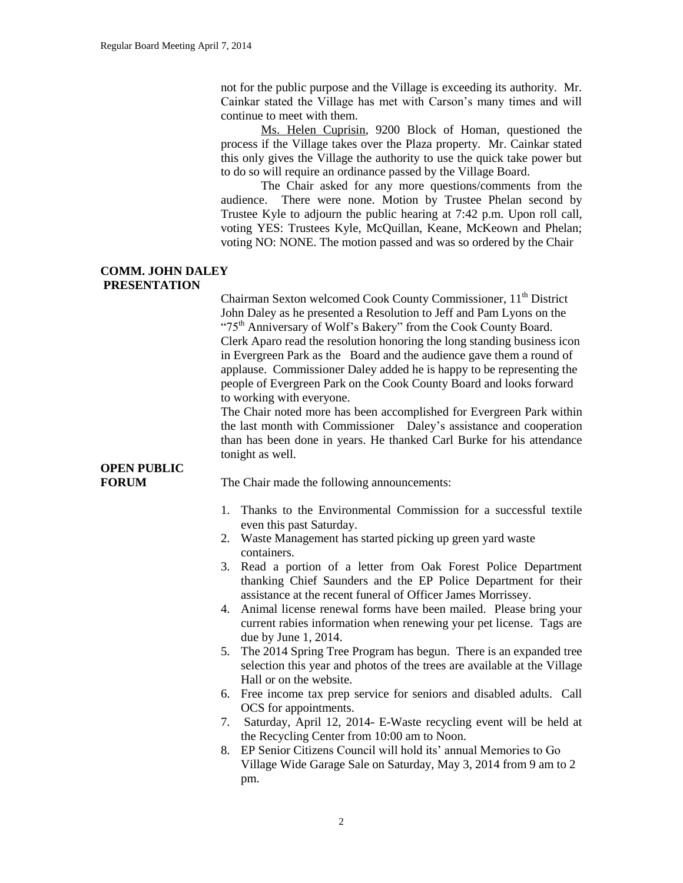not for the public purpose and the Village is exceeding its authority. Mr. Cainkar stated the Village has met with Carson's many times and will continue to meet with them.

Ms. Helen Cuprisin, 9200 Block of Homan, questioned the process if the Village takes over the Plaza property. Mr. Cainkar stated this only gives the Village the authority to use the quick take power but to do so will require an ordinance passed by the Village Board.

The Chair asked for any more questions/comments from the audience. There were none. Motion by Trustee Phelan second by Trustee Kyle to adjourn the public hearing at 7:42 p.m. Upon roll call, voting YES: Trustees Kyle, McQuillan, Keane, McKeown and Phelan; voting NO: NONE. The motion passed and was so ordered by the Chair

#### **COMM. JOHN DALEY PRESENTATION**

Chairman Sexton welcomed Cook County Commissioner,  $11<sup>th</sup>$  District John Daley as he presented a Resolution to Jeff and Pam Lyons on the "75<sup>th</sup> Anniversary of Wolf's Bakery" from the Cook County Board. Clerk Aparo read the resolution honoring the long standing business icon in Evergreen Park as the Board and the audience gave them a round of applause. Commissioner Daley added he is happy to be representing the people of Evergreen Park on the Cook County Board and looks forward to working with everyone.

The Chair noted more has been accomplished for Evergreen Park within the last month with Commissioner Daley's assistance and cooperation than has been done in years. He thanked Carl Burke for his attendance tonight as well.

# **OPEN PUBLIC**

**FORUM** The Chair made the following announcements:

- 1. Thanks to the Environmental Commission for a successful textile even this past Saturday.
- 2. Waste Management has started picking up green yard waste containers.
- 3. Read a portion of a letter from Oak Forest Police Department thanking Chief Saunders and the EP Police Department for their assistance at the recent funeral of Officer James Morrissey.
- 4. Animal license renewal forms have been mailed. Please bring your current rabies information when renewing your pet license. Tags are due by June 1, 2014.
- 5. The 2014 Spring Tree Program has begun. There is an expanded tree selection this year and photos of the trees are available at the Village Hall or on the website.
- 6. Free income tax prep service for seniors and disabled adults. Call OCS for appointments.
- 7. Saturday, April 12, 2014- E-Waste recycling event will be held at the Recycling Center from 10:00 am to Noon.
- 8. EP Senior Citizens Council will hold its' annual Memories to Go Village Wide Garage Sale on Saturday, May 3, 2014 from 9 am to 2 pm.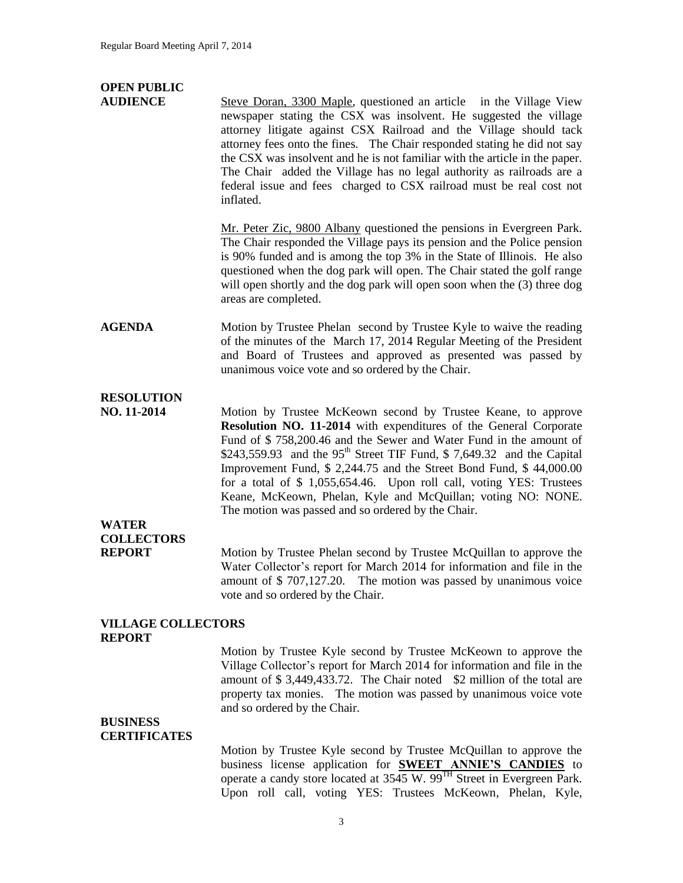# **OPEN PUBLIC**

**AUDIENCE** Steve Doran, 3300 Maple, questioned an article in the Village View newspaper stating the CSX was insolvent. He suggested the village attorney litigate against CSX Railroad and the Village should tack attorney fees onto the fines. The Chair responded stating he did not say the CSX was insolvent and he is not familiar with the article in the paper. The Chair added the Village has no legal authority as railroads are a federal issue and fees charged to CSX railroad must be real cost not inflated.

> Mr. Peter Zic, 9800 Albany questioned the pensions in Evergreen Park. The Chair responded the Village pays its pension and the Police pension is 90% funded and is among the top 3% in the State of Illinois. He also questioned when the dog park will open. The Chair stated the golf range will open shortly and the dog park will open soon when the (3) three dog areas are completed.

#### **AGENDA** Motion by Trustee Phelan second by Trustee Kyle to waive the reading of the minutes of the March 17, 2014 Regular Meeting of the President and Board of Trustees and approved as presented was passed by unanimous voice vote and so ordered by the Chair.

### **RESOLUTION**

**NO. 11-2014** Motion by Trustee McKeown second by Trustee Keane, to approve **Resolution NO. 11-2014** with expenditures of the General Corporate Fund of \$ 758,200.46 and the Sewer and Water Fund in the amount of \$243,559.93 and the  $95<sup>th</sup>$  Street TIF Fund, \$7,649.32 and the Capital Improvement Fund, \$ 2,244.75 and the Street Bond Fund, \$ 44,000.00 for a total of \$ 1,055,654.46. Upon roll call, voting YES: Trustees Keane, McKeown, Phelan, Kyle and McQuillan; voting NO: NONE. The motion was passed and so ordered by the Chair.

## **WATER COLLECTORS**

**REPORT** Motion by Trustee Phelan second by Trustee McQuillan to approve the Water Collector's report for March 2014 for information and file in the amount of \$ 707,127.20. The motion was passed by unanimous voice vote and so ordered by the Chair.

#### **VILLAGE COLLECTORS REPORT**

Motion by Trustee Kyle second by Trustee McKeown to approve the Village Collector's report for March 2014 for information and file in the amount of \$ 3,449,433.72. The Chair noted \$2 million of the total are property tax monies. The motion was passed by unanimous voice vote and so ordered by the Chair.

#### **BUSINESS CERTIFICATES**

Motion by Trustee Kyle second by Trustee McQuillan to approve the business license application for **SWEET ANNIE'S CANDIES** to operate a candy store located at 3545 W. 99TH Street in Evergreen Park. Upon roll call, voting YES: Trustees McKeown, Phelan, Kyle,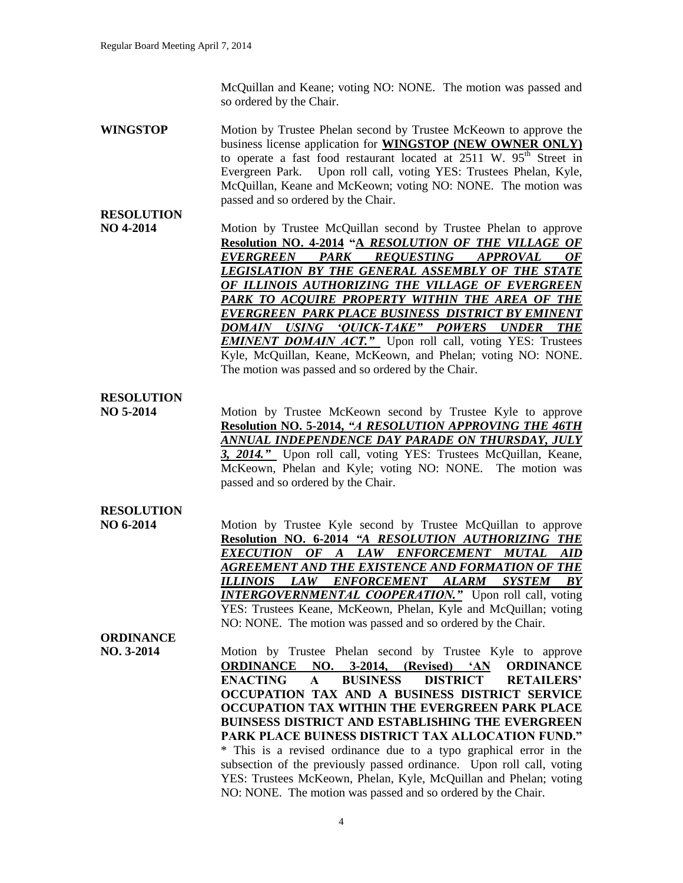McQuillan and Keane; voting NO: NONE. The motion was passed and so ordered by the Chair.

**WINGSTOP** Motion by Trustee Phelan second by Trustee McKeown to approve the business license application for **WINGSTOP (NEW OWNER ONLY)**  to operate a fast food restaurant located at  $2511$  W.  $95<sup>th</sup>$  Street in Evergreen Park. Upon roll call, voting YES: Trustees Phelan, Kyle, McQuillan, Keane and McKeown; voting NO: NONE. The motion was passed and so ordered by the Chair.

**NO 4-2014** Motion by Trustee McQuillan second by Trustee Phelan to approve **Resolution NO. 4-2014 "A** *RESOLUTION OF THE VILLAGE OF EVERGREEN PARK REQUESTING APPROVAL OF LEGISLATION BY THE GENERAL ASSEMBLY OF THE STATE OF ILLINOIS AUTHORIZING THE VILLAGE OF EVERGREEN PARK TO ACQUIRE PROPERTY WITHIN THE AREA OF THE EVERGREEN PARK PLACE BUSINESS DISTRICT BY EMINENT DOMAIN USING 'QUICK-TAKE" POWERS UNDER THE*  **EMINENT DOMAIN ACT."** Upon roll call, voting YES: Trustees Kyle, McQuillan, Keane, McKeown, and Phelan; voting NO: NONE. The motion was passed and so ordered by the Chair.

#### **RESOLUTION**

**RESOLUTION**

**NO 5-2014** Motion by Trustee McKeown second by Trustee Kyle to approve **Resolution NO. 5-2014,** *"A RESOLUTION APPROVING THE 46TH ANNUAL INDEPENDENCE DAY PARADE ON THURSDAY, JULY 3, 2014."* Upon roll call, voting YES: Trustees McQuillan, Keane, McKeown, Phelan and Kyle; voting NO: NONE. The motion was passed and so ordered by the Chair.

#### **RESOLUTION**

**NO 6-2014** Motion by Trustee Kyle second by Trustee McQuillan to approve **Resolution NO. 6-2014** *"A RESOLUTION AUTHORIZING THE EXECUTION OF A LAW ENFORCEMENT MUTAL AID AGREEMENT AND THE EXISTENCE AND FORMATION OF THE ILLINOIS LAW ENFORCEMENT ALARM SYSTEM BY INTERGOVERNMENTAL COOPERATION."*Upon roll call, voting YES: Trustees Keane, McKeown, Phelan, Kyle and McQuillan; voting NO: NONE. The motion was passed and so ordered by the Chair.

# **ORDINANCE**

**NO. 3-2014** Motion by Trustee Phelan second by Trustee Kyle to approve **ORDINANCE NO. 3-2014, (Revised) 'AN ORDINANCE ENACTING A BUSINESS DISTRICT RETAILERS' OCCUPATION TAX AND A BUSINESS DISTRICT SERVICE OCCUPATION TAX WITHIN THE EVERGREEN PARK PLACE BUINSESS DISTRICT AND ESTABLISHING THE EVERGREEN PARK PLACE BUINESS DISTRICT TAX ALLOCATION FUND."** \* This is a revised ordinance due to a typo graphical error in the subsection of the previously passed ordinance. Upon roll call, voting YES: Trustees McKeown, Phelan, Kyle, McQuillan and Phelan; voting NO: NONE. The motion was passed and so ordered by the Chair.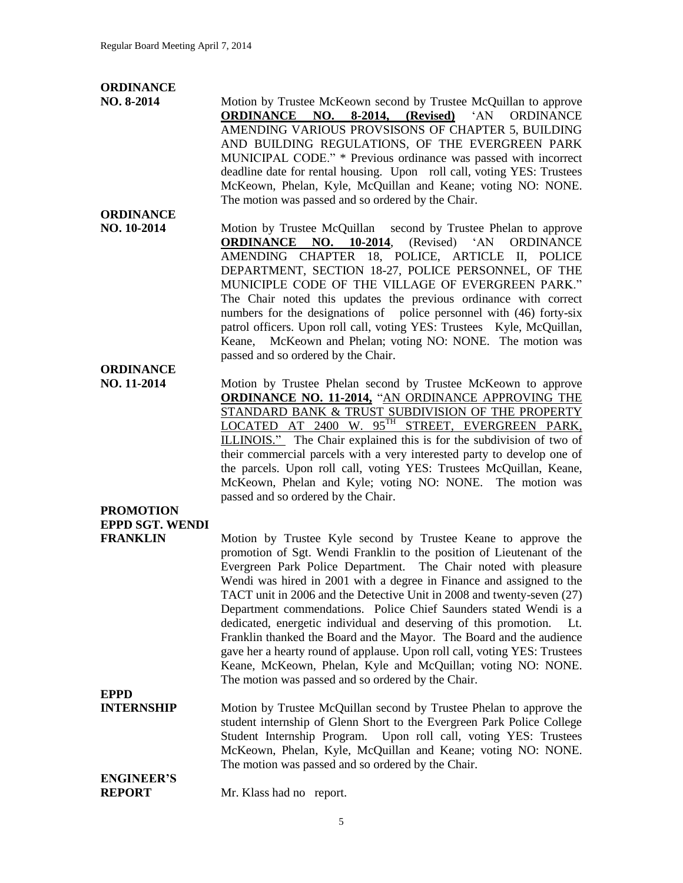# **ORDINANCE**

**NO. 8-2014** Motion by Trustee McKeown second by Trustee McQuillan to approve **ORDINANCE NO. 8-2014, (Revised)** 'AN ORDINANCE AMENDING VARIOUS PROVSISONS OF CHAPTER 5, BUILDING AND BUILDING REGULATIONS, OF THE EVERGREEN PARK MUNICIPAL CODE." \* Previous ordinance was passed with incorrect deadline date for rental housing. Upon roll call, voting YES: Trustees McKeown, Phelan, Kyle, McQuillan and Keane; voting NO: NONE. The motion was passed and so ordered by the Chair.

- **ORDINANCE NO. 10-2014 Motion by Trustee McQuillan** second by Trustee Phelan to approve **ORDINANCE NO. 10-2014**, (Revised) 'AN ORDINANCE AMENDING CHAPTER 18, POLICE, ARTICLE II, POLICE DEPARTMENT, SECTION 18-27, POLICE PERSONNEL, OF THE MUNICIPLE CODE OF THE VILLAGE OF EVERGREEN PARK." The Chair noted this updates the previous ordinance with correct numbers for the designations of police personnel with (46) forty-six patrol officers. Upon roll call, voting YES: Trustees Kyle, McQuillan, Keane, McKeown and Phelan; voting NO: NONE. The motion was passed and so ordered by the Chair.
- **NO. 11-2014** Motion by Trustee Phelan second by Trustee McKeown to approve **ORDINANCE NO. 11-2014,** "AN ORDINANCE APPROVING THE STANDARD BANK & TRUST SUBDIVISION OF THE PROPERTY LOCATED AT 2400 W. 95TH STREET, EVERGREEN PARK, ILLINOIS." The Chair explained this is for the subdivision of two of their commercial parcels with a very interested party to develop one of the parcels. Upon roll call, voting YES: Trustees McQuillan, Keane, McKeown, Phelan and Kyle; voting NO: NONE. The motion was passed and so ordered by the Chair.

**PROMOTION EPPD SGT. WENDI**

**ORDINANCE**

**FRANKLIN** Motion by Trustee Kyle second by Trustee Keane to approve the promotion of Sgt. Wendi Franklin to the position of Lieutenant of the Evergreen Park Police Department. The Chair noted with pleasure Wendi was hired in 2001 with a degree in Finance and assigned to the TACT unit in 2006 and the Detective Unit in 2008 and twenty-seven (27) Department commendations. Police Chief Saunders stated Wendi is a dedicated, energetic individual and deserving of this promotion. Lt. Franklin thanked the Board and the Mayor. The Board and the audience gave her a hearty round of applause. Upon roll call, voting YES: Trustees Keane, McKeown, Phelan, Kyle and McQuillan; voting NO: NONE. The motion was passed and so ordered by the Chair.

**EPPD INTERNSHIP** Motion by Trustee McQuillan second by Trustee Phelan to approve the student internship of Glenn Short to the Evergreen Park Police College Student Internship Program. Upon roll call, voting YES: Trustees McKeown, Phelan, Kyle, McQuillan and Keane; voting NO: NONE. The motion was passed and so ordered by the Chair.

**ENGINEER'S**

**REPORT** Mr. Klass had no report.